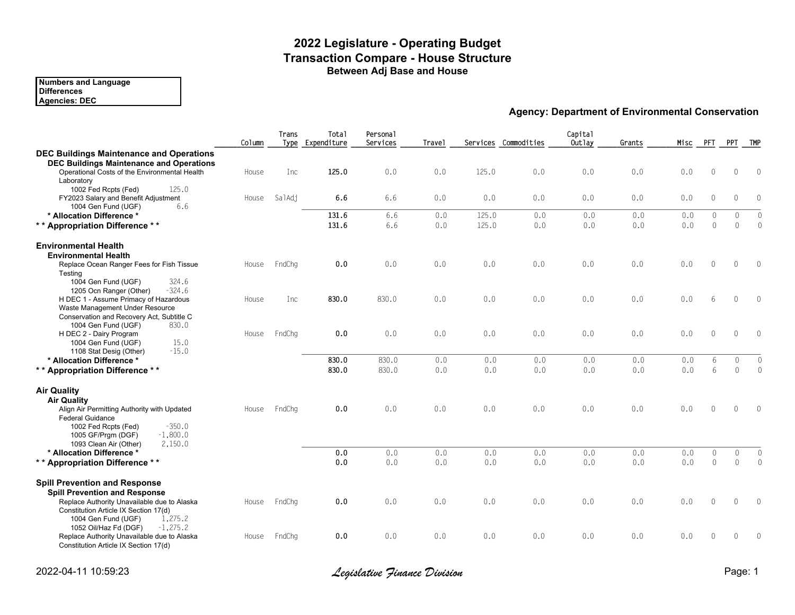## **2022 Legislature - Operating Budget Transaction Compare - House Structure Between Adj Base and House**

#### **Numbers and Language Differences**

**Agencie[s: DEC](http://www.legfin.akleg.gov/ReportsPHP/SelectReport.php?ReportAbbrev=FUNDSOURCE&LimitFundCodes=1004)**

|                                                                                                               | Column | Trans  | Total<br>Type Expenditure | Personal<br>Services | Travel |       | Services Commodities | Capital<br>Outlay |
|---------------------------------------------------------------------------------------------------------------|--------|--------|---------------------------|----------------------|--------|-------|----------------------|-------------------|
| <b>DEC Buildings Maintenance and Operations</b><br><b>DEC Buildings Maintenance and Operations</b>            |        |        |                           |                      |        |       |                      |                   |
| Operational Costs of the Environmental Health<br>Laboratory<br>125.0                                          | House  | Inc    | 125.0                     | 0.0                  | 0.0    | 125.0 | 0.0                  | 0.0               |
| 1002 Fed Rcpts (Fed)<br>FY2023 Salary and Benefit Adjustment<br>6.6<br>1004 Gen Fund (UGF)                    | House  | SalAdj | 6.6                       | 6.6                  | 0.0    | 0.0   | 0.0                  | 0.0               |
| * Allocation Difference *                                                                                     |        |        | 131.6                     | 6.6                  | 0.0    | 125.0 | 0.0                  | 0.0               |
| ** Appropriation Difference **                                                                                |        |        | 131.6                     | 6.6                  | 0.0    | 125.0 | 0.0                  | 0.0               |
| <b>Environmental Health</b><br><b>Environmental Health</b>                                                    |        |        |                           |                      |        |       |                      |                   |
| Replace Ocean Ranger Fees for Fish Tissue<br>Testing                                                          | House  | FndChg | 0.0                       | 0.0                  | 0.0    | 0.0   | 0.0                  | 0.0               |
| 1004 Gen Fund (UGF)<br>324.6<br>$-324.6$<br>1205 Ocn Ranger (Other)<br>H DEC 1 - Assume Primacy of Hazardous  | House  | Inc    | 830.0                     | 830.0                | 0.0    | 0.0   | 0.0                  | 0.0               |
| Waste Management Under Resource<br>Conservation and Recovery Act, Subtitle C                                  |        |        |                           |                      |        |       |                      |                   |
| 830.0<br>1004 Gen Fund (UGF)<br>H DEC 2 - Dairy Program<br>15.0<br>1004 Gen Fund (UGF)                        | House  | FndChq | 0.0                       | 0.0                  | 0.0    | 0.0   | 0.0                  | 0.0               |
| $-15.0$<br>1108 Stat Desig (Other)                                                                            |        |        |                           |                      |        |       |                      |                   |
| * Allocation Difference *                                                                                     |        |        | 830.0                     | 830.0                | 0.0    | 0.0   | 0.0                  | 0.0               |
| ** Appropriation Difference **                                                                                |        |        | 830.0                     | 830.0                | 0.0    | 0.0   | 0.0                  | 0.0               |
| <b>Air Quality</b><br><b>Air Quality</b>                                                                      |        |        |                           |                      |        |       |                      |                   |
| Align Air Permitting Authority with Updated<br><b>Federal Guidance</b>                                        | House  | FndChq | 0.0                       | 0.0                  | 0.0    | 0.0   | 0.0                  | 0.0               |
| $-350.0$<br>1002 Fed Rcpts (Fed)<br>$-1.800.0$<br>1005 GF/Prgm (DGF)                                          |        |        |                           |                      |        |       |                      |                   |
| 2,150.0<br>1093 Clean Air (Other)<br>* Allocation Difference *                                                |        |        | 0.0                       | 0.0                  | 0.0    | 0.0   | 0.0                  | 0.0               |
| ** Appropriation Difference **                                                                                |        |        | 0.0                       | 0.0                  | 0.0    | 0.0   | 0.0                  | 0.0               |
|                                                                                                               |        |        |                           |                      |        |       |                      |                   |
| <b>Spill Prevention and Response</b><br><b>Spill Prevention and Response</b>                                  |        |        |                           |                      |        |       |                      |                   |
| Replace Authority Unavailable due to Alaska                                                                   | House  | FndChg | 0.0                       | 0.0                  | 0.0    | 0.0   | 0.0                  | 0.0               |
| Constitution Article IX Section 17(d)<br>1,275.2<br>1004 Gen Fund (UGF)<br>$-1,275.2$                         |        |        |                           |                      |        |       |                      |                   |
| 1052 Oil/Haz Fd (DGF)<br>Replace Authority Unavailable due to Alaska<br>Constitution Article IX Section 17(d) | House  | FndChg | 0.0                       | 0.0                  | 0.0    | 0.0   | 0.0                  | 0.0               |

2022-04-11 10:59:23 *Legislative Finance Division* Page: 1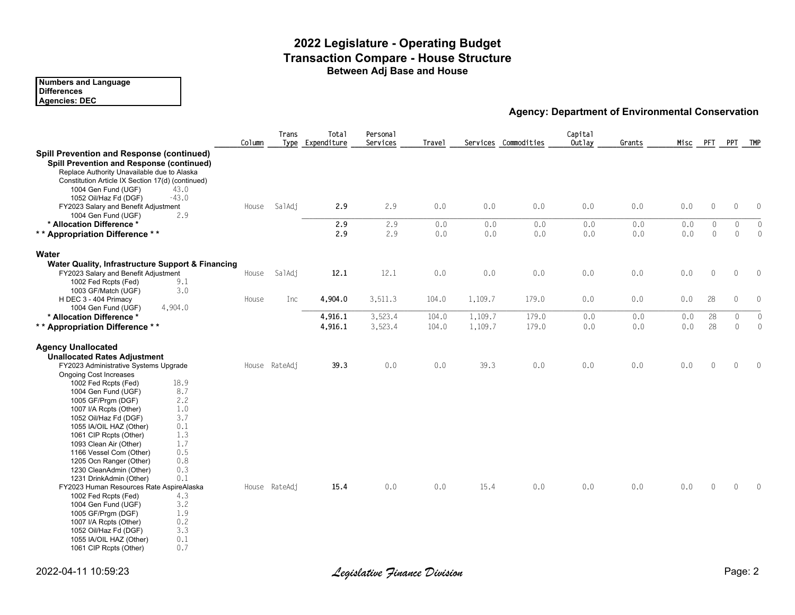## **2022 Legislature - Operating Budget Transaction Compare - House Structure Between Adj Base and House**

**Numbers and Language Differences Agencie[s: DEC](http://www.legfin.akleg.gov/ReportsPHP/SelectReport.php?ReportAbbrev=FUNDSOURCE&LimitFundCodes=1002)**

**Agency: Department of** 

|                                                                                                                                                                                                                                                                                                                                                                                                                                                                                                                    | Column | Trans         | Total<br>Type Expenditure | Personal<br>Services | <b>Travel</b> |            | Services Commodities | Capital<br>Outlay |
|--------------------------------------------------------------------------------------------------------------------------------------------------------------------------------------------------------------------------------------------------------------------------------------------------------------------------------------------------------------------------------------------------------------------------------------------------------------------------------------------------------------------|--------|---------------|---------------------------|----------------------|---------------|------------|----------------------|-------------------|
| <b>Spill Prevention and Response (continued)</b><br><b>Spill Prevention and Response (continued)</b><br>Replace Authority Unavailable due to Alaska<br>Constitution Article IX Section 17(d) (continued)<br>1004 Gen Fund (UGF)<br>43.0<br>$-43.0$<br>1052 Oil/Haz Fd (DGF)<br>FY2023 Salary and Benefit Adjustment                                                                                                                                                                                                | House  | SalAdj        | 2.9                       | 2.9                  | 0.0           | 0.0        | 0.0                  | 0.0               |
| 2.9<br>1004 Gen Fund (UGF)                                                                                                                                                                                                                                                                                                                                                                                                                                                                                         |        |               |                           |                      |               |            |                      |                   |
| * Allocation Difference *<br>** Appropriation Difference **                                                                                                                                                                                                                                                                                                                                                                                                                                                        |        |               | 2.9<br>2.9                | 2.9<br>2.9           | 0.0<br>0.0    | 0.0<br>0.0 | 0.0<br>0.0           | 0.0<br>0.0        |
| Water                                                                                                                                                                                                                                                                                                                                                                                                                                                                                                              |        |               |                           |                      |               |            |                      |                   |
| Water Quality, Infrastructure Support & Financing<br>FY2023 Salary and Benefit Adjustment<br>1002 Fed Rcpts (Fed)<br>9.1                                                                                                                                                                                                                                                                                                                                                                                           | House  | SalAdj        | 12.1                      | 12.1                 | 0.0           | 0.0        | 0.0                  | 0.0               |
| 3.0<br>1003 GF/Match (UGF)<br>H DEC 3 - 404 Primacy<br>4,904.0<br>1004 Gen Fund (UGF)                                                                                                                                                                                                                                                                                                                                                                                                                              | House  | Inc           | 4,904.0                   | 3,511.3              | 104.0         | 1,109.7    | 179.0                | 0.0               |
| * Allocation Difference *                                                                                                                                                                                                                                                                                                                                                                                                                                                                                          |        |               | 4,916.1                   | 3,523.4              | 104.0         | 1,109.7    | 179.0                | 0.0               |
| ** Appropriation Difference **                                                                                                                                                                                                                                                                                                                                                                                                                                                                                     |        |               | 4,916.1                   | 3,523.4              | 104.0         | 1,109.7    | 179.0                | 0.0               |
| <b>Agency Unallocated</b><br><b>Unallocated Rates Adjustment</b><br>FY2023 Administrative Systems Upgrade<br>Ongoing Cost Increases<br>18.9<br>1002 Fed Rcpts (Fed)<br>8.7<br>1004 Gen Fund (UGF)<br>2.2<br>1005 GF/Prgm (DGF)<br>1.0<br>1007 I/A Rcpts (Other)<br>3.7<br>1052 Oil/Haz Fd (DGF)                                                                                                                                                                                                                    |        | House RateAdj | 39.3                      | 0.0                  | 0.0           | 39.3       | 0.0                  | 0.0               |
| 0.1<br>1055 IA/OIL HAZ (Other)<br>1.3<br>1061 CIP Rcpts (Other)<br>1.7<br>1093 Clean Air (Other)<br>0.5<br>1166 Vessel Com (Other)<br>0.8<br>1205 Ocn Ranger (Other)<br>0.3<br>1230 CleanAdmin (Other)<br>0.1<br>1231 DrinkAdmin (Other)<br>FY2023 Human Resources Rate AspireAlaska<br>4.3<br>1002 Fed Rcpts (Fed)<br>3.2<br>1004 Gen Fund (UGF)<br>1.9<br>1005 GF/Prgm (DGF)<br>0.2<br>1007 I/A Rcpts (Other)<br>3.3<br>1052 Oil/Haz Fd (DGF)<br>0.1<br>1055 IA/OIL HAZ (Other)<br>0.7<br>1061 CIP Rcpts (Other) |        | House RateAdj | 15.4                      | 0.0                  | 0.0           | 15.4       | 0.0                  | 0.0               |

2022-04-11 10:59:23 *Legislative Finance Division* Page: 2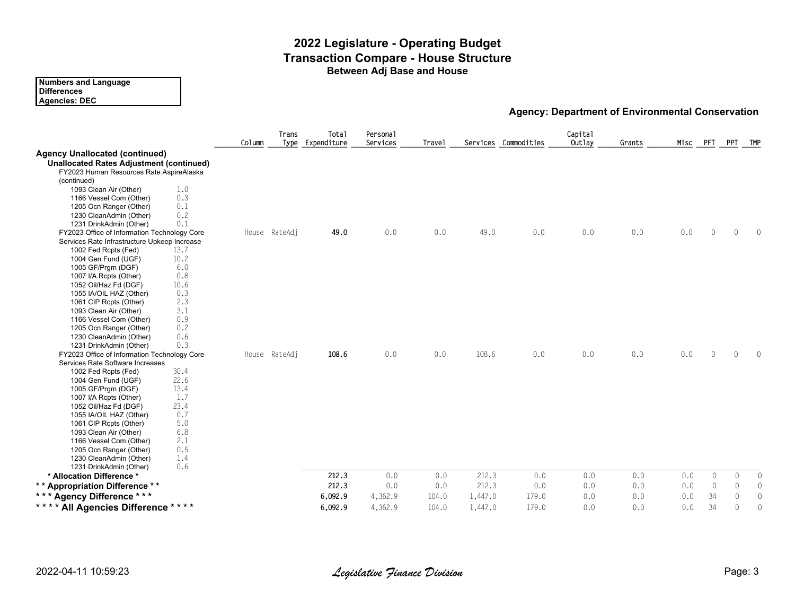#### **2022 Legislature - Operating Budget Transaction Compare - House Structure Between Adj Base and House**

| <b>Numbers and Language</b> |  |
|-----------------------------|--|
| <b>Differences</b>          |  |
| Agencies: DEC               |  |

**Agency: Department of** 

|                                                                                                                                                                                                                                                                                                                                                                                                                                                                                                        | Column | Trans<br>Type | Total<br>Expenditure | Personal<br>Services | Travel |         | Services Commodities | Capital<br>Outlay |
|--------------------------------------------------------------------------------------------------------------------------------------------------------------------------------------------------------------------------------------------------------------------------------------------------------------------------------------------------------------------------------------------------------------------------------------------------------------------------------------------------------|--------|---------------|----------------------|----------------------|--------|---------|----------------------|-------------------|
| <b>Agency Unallocated (continued)</b><br><b>Unallocated Rates Adjustment (continued)</b><br>FY2023 Human Resources Rate AspireAlaska<br>(continued)<br>1.0<br>1093 Clean Air (Other)<br>0.3<br>1166 Vessel Com (Other)<br>0.1<br>1205 Ocn Ranger (Other)<br>0.2<br>1230 CleanAdmin (Other)<br>0.1<br>1231 DrinkAdmin (Other)                                                                                                                                                                           |        |               |                      |                      |        |         |                      |                   |
| FY2023 Office of Information Technology Core<br>Services Rate Infrastructure Upkeep Increase<br>13.7<br>1002 Fed Rcpts (Fed)<br>10.2<br>1004 Gen Fund (UGF)<br>6.0<br>1005 GF/Prgm (DGF)<br>0.8<br>1007 I/A Rcpts (Other)<br>10.6<br>1052 Oil/Haz Fd (DGF)<br>0.3<br>1055 IA/OIL HAZ (Other)<br>2.3<br>1061 CIP Rcpts (Other)<br>3.1<br>1093 Clean Air (Other)<br>0.9<br>1166 Vessel Com (Other)<br>0.2<br>1205 Ocn Ranger (Other)<br>0.6<br>1230 CleanAdmin (Other)<br>0.3<br>1231 DrinkAdmin (Other) |        | House RateAdj | 49.0                 | 0.0                  | 0.0    | 49.0    | 0.0                  | 0.0               |
| FY2023 Office of Information Technology Core<br>Services Rate Software Increases<br>30.4<br>1002 Fed Rcpts (Fed)<br>22.6<br>1004 Gen Fund (UGF)<br>13.4<br>1005 GF/Prgm (DGF)<br>1.7<br>1007 I/A Rcpts (Other)<br>23.4<br>1052 Oil/Haz Fd (DGF)<br>0.7<br>1055 IA/OIL HAZ (Other)<br>5.0<br>1061 CIP Rcpts (Other)<br>6.8<br>1093 Clean Air (Other)<br>2.1<br>1166 Vessel Com (Other)<br>0.5<br>1205 Ocn Ranger (Other)<br>1.4<br>1230 CleanAdmin (Other)<br>0.6<br>1231 DrinkAdmin (Other)            |        | House RateAdj | 108.6                | 0.0                  | 0.0    | 108.6   | 0.0                  | 0.0               |
| * Allocation Difference *                                                                                                                                                                                                                                                                                                                                                                                                                                                                              |        |               | 212.3                | 0.0                  | 0.0    | 212.3   | 0.0                  | 0.0               |
| ** Appropriation Difference **                                                                                                                                                                                                                                                                                                                                                                                                                                                                         |        |               | 212.3                | 0.0                  | 0.0    | 212.3   | 0.0                  | 0.0               |
| *** Agency Difference ***                                                                                                                                                                                                                                                                                                                                                                                                                                                                              |        |               | 6,092.9              | 4,362.9              | 104.0  | 1,447.0 | 179.0                | 0.0               |
| **** All Agencies Difference ****                                                                                                                                                                                                                                                                                                                                                                                                                                                                      |        |               | 6,092.9              | 4,362.9              | 104.0  | 1,447.0 | 179.0                | 0.0               |